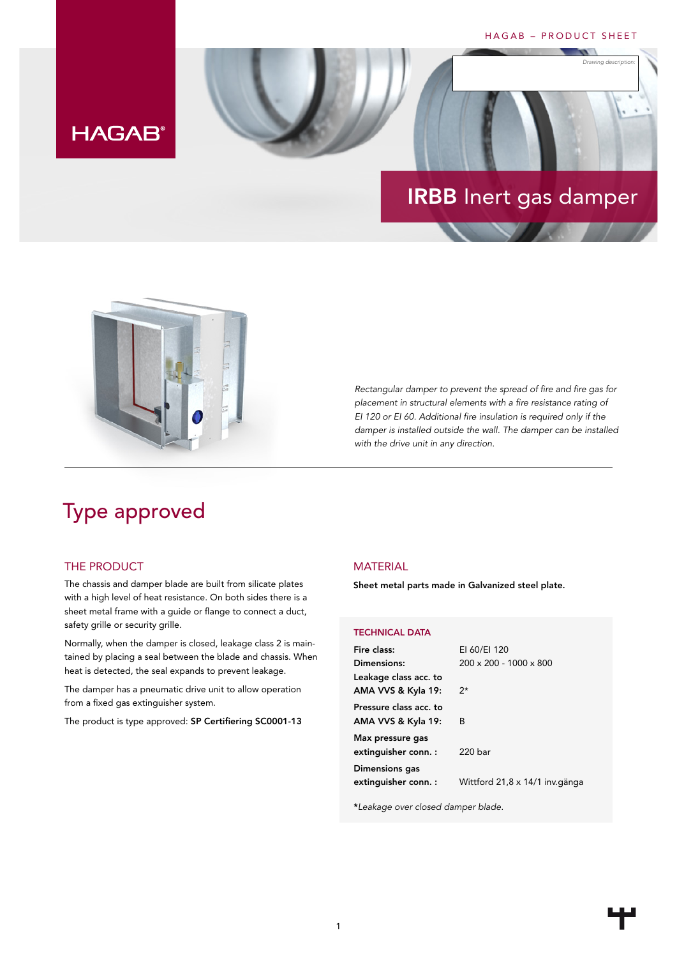## HAGAB – PRODUCT SHEET

*Drawing description:*

# **HAGAB®**

# IRBB Inert gas damper



*Rectangular damper to prevent the spread of fire and fire gas for placement in structural elements with a fire resistance rating of EI 120 or EI 60. Additional fire insulation is required only if the damper is installed outside the wall. The damper can be installed with the drive unit in any direction.*

# Type approved

## THE PRODUCT

The chassis and damper blade are built from silicate plates with a high level of heat resistance. On both sides there is a sheet metal frame with a guide or flange to connect a duct, safety grille or security grille.

Normally, when the damper is closed, leakage class 2 is maintained by placing a seal between the blade and chassis. When heat is detected, the seal expands to prevent leakage.

The damper has a pneumatic drive unit to allow operation from a fixed gas extinguisher system.

The product is type approved: SP Certifiering SC0001-13

## MATERIAL

Sheet metal parts made in Galvanized steel plate.

### TECHNICAL DATA

| Fire class:                                  | EI 60/EI 120                       |
|----------------------------------------------|------------------------------------|
| Dimensions:                                  | $200 \times 200 - 1000 \times 800$ |
| Leakage class acc. to<br>AMA VVS & Kyla 19:  | $2^{\star}$                        |
| Pressure class acc. to<br>AMA VVS & Kyla 19: | B                                  |
| Max pressure gas<br>extinguisher conn. :     | 220 bar                            |
| Dimensions gas<br>extinguisher conn. :       | Wittford 21,8 x 14/1 inv.gänga     |

\**Leakage over closed damper blade.*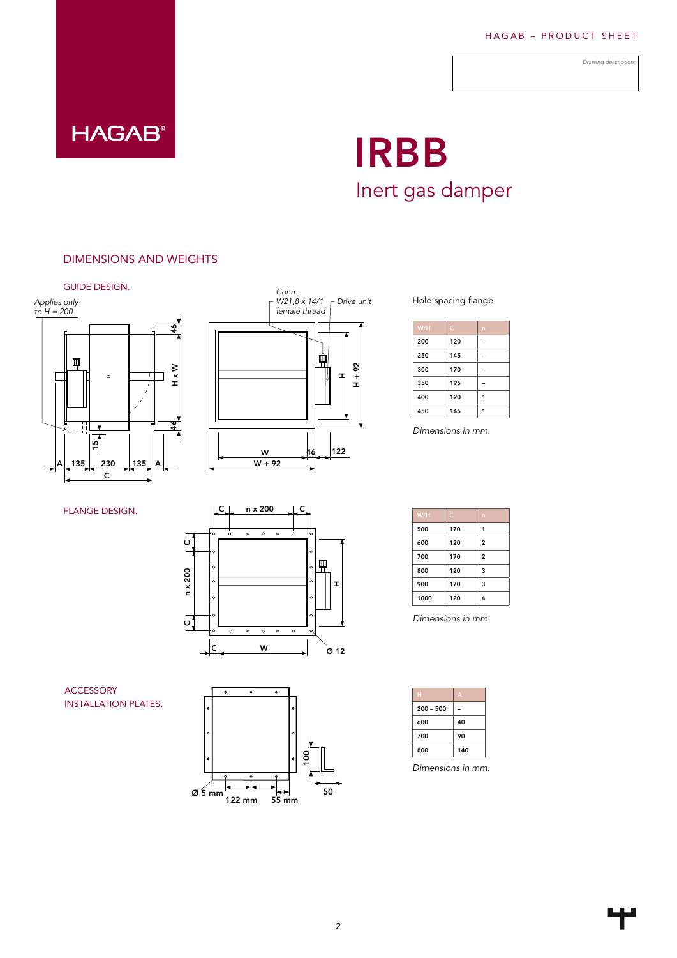*Drawing description:*



# IRBB Inert gas damper

# DIMENSIONS AND WEIGHTS





FLANGE DESIGN.



ACCESSORY INSTALLATION PLATES.



### Hole spacing flange

| W/H | $\epsilon$ | n |
|-----|------------|---|
| 200 | 120        |   |
| 250 | 145        |   |
| 300 | 170        |   |
| 350 | 195        |   |
| 400 | 120        |   |
| 450 | 145        |   |

 $sions$  in  $mm$ *Dimensions in mm.*

| W/H  | Ċ   | n              |
|------|-----|----------------|
| 500  | 170 | 1              |
| 600  | 120 | $\overline{2}$ |
| 700  | 170 | 2              |
| 800  | 120 | 3              |
| 900  | 170 | 3              |
| 1000 | 120 | 4              |

*Dimensions in mm.*

|             | π   |
|-------------|-----|
| $200 - 500$ |     |
| 600         | 40  |
| 700         | 90  |
| 800         | 140 |

*Dimensions in mm.*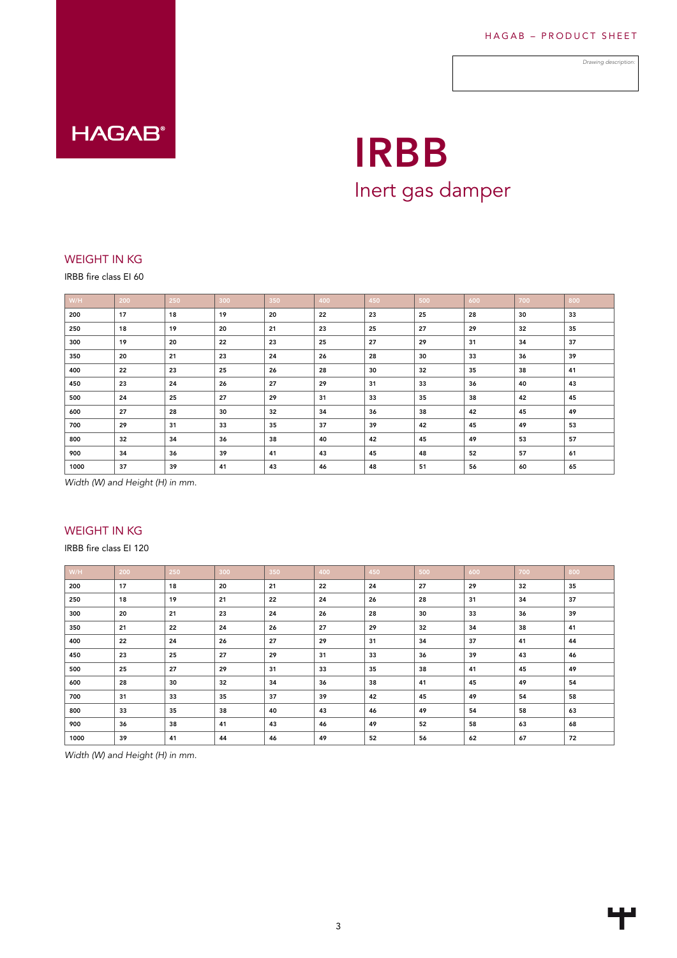*Drawing description:*



# IRBB Inert gas damper

# WEIGHT IN KG

IRBB fire class EI 60

| W/H  | 200 | 250 | 300 | 350 | 400 | 450 | 500 | 600 | 700 | 800 |
|------|-----|-----|-----|-----|-----|-----|-----|-----|-----|-----|
| 200  | 17  | 18  | 19  | 20  | 22  | 23  | 25  | 28  | 30  | 33  |
| 250  | 18  | 19  | 20  | 21  | 23  | 25  | 27  | 29  | 32  | 35  |
| 300  | 19  | 20  | 22  | 23  | 25  | 27  | 29  | 31  | 34  | 37  |
| 350  | 20  | 21  | 23  | 24  | 26  | 28  | 30  | 33  | 36  | 39  |
| 400  | 22  | 23  | 25  | 26  | 28  | 30  | 32  | 35  | 38  | 41  |
| 450  | 23  | 24  | 26  | 27  | 29  | 31  | 33  | 36  | 40  | 43  |
| 500  | 24  | 25  | 27  | 29  | 31  | 33  | 35  | 38  | 42  | 45  |
| 600  | 27  | 28  | 30  | 32  | 34  | 36  | 38  | 42  | 45  | 49  |
| 700  | 29  | 31  | 33  | 35  | 37  | 39  | 42  | 45  | 49  | 53  |
| 800  | 32  | 34  | 36  | 38  | 40  | 42  | 45  | 49  | 53  | 57  |
| 900  | 34  | 36  | 39  | 41  | 43  | 45  | 48  | 52  | 57  | 61  |
| 1000 | 37  | 39  | 41  | 43  | 46  | 48  | 51  | 56  | 60  | 65  |

*Width (W) and Height (H) in mm.*

# WEIGHT IN KG

IRBB fire class EI 120

| W/H  | 200 | 250 | 300 | 350 | 400 | 450 | 500 | 600 | 700 | 800 |
|------|-----|-----|-----|-----|-----|-----|-----|-----|-----|-----|
| 200  | 17  | 18  | 20  | 21  | 22  | 24  | 27  | 29  | 32  | 35  |
| 250  | 18  | 19  | 21  | 22  | 24  | 26  | 28  | 31  | 34  | 37  |
| 300  | 20  | 21  | 23  | 24  | 26  | 28  | 30  | 33  | 36  | 39  |
| 350  | 21  | 22  | 24  | 26  | 27  | 29  | 32  | 34  | 38  | 41  |
| 400  | 22  | 24  | 26  | 27  | 29  | 31  | 34  | 37  | 41  | 44  |
| 450  | 23  | 25  | 27  | 29  | 31  | 33  | 36  | 39  | 43  | 46  |
| 500  | 25  | 27  | 29  | 31  | 33  | 35  | 38  | 41  | 45  | 49  |
| 600  | 28  | 30  | 32  | 34  | 36  | 38  | 41  | 45  | 49  | 54  |
| 700  | 31  | 33  | 35  | 37  | 39  | 42  | 45  | 49  | 54  | 58  |
| 800  | 33  | 35  | 38  | 40  | 43  | 46  | 49  | 54  | 58  | 63  |
| 900  | 36  | 38  | 41  | 43  | 46  | 49  | 52  | 58  | 63  | 68  |
| 1000 | 39  | 41  | 44  | 46  | 49  | 52  | 56  | 62  | 67  | 72  |

*Width (W) and Height (H) in mm.*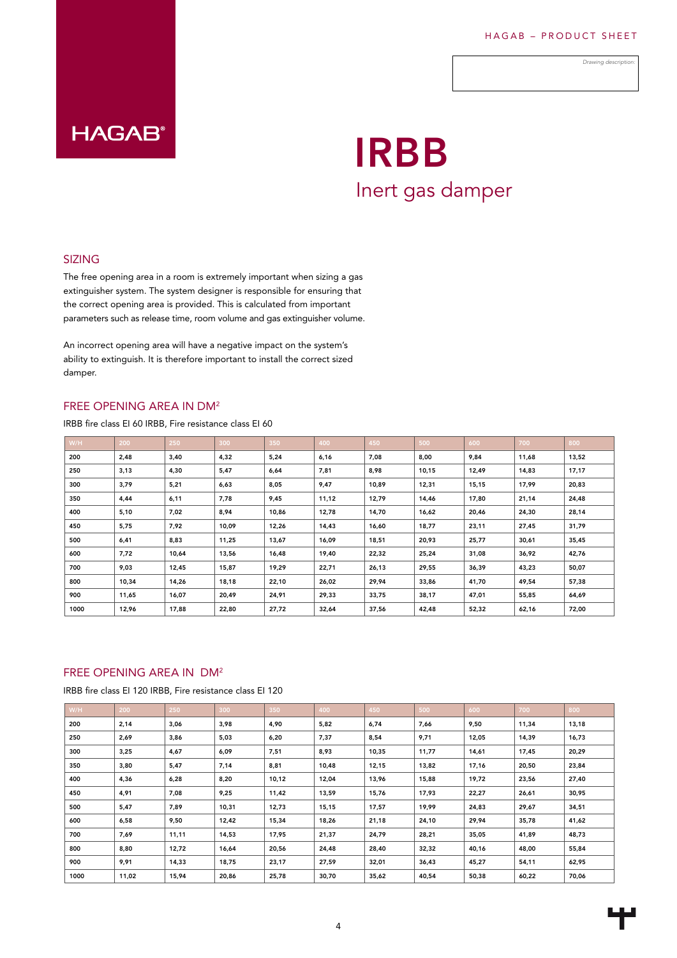*Drawing description:*

# **HAGAB®**

# IRBB Inert gas damper

## SIZING

The free opening area in a room is extremely important when sizing a gas extinguisher system. The system designer is responsible for ensuring that the correct opening area is provided. This is calculated from important parameters such as release time, room volume and gas extinguisher volume.

An incorrect opening area will have a negative impact on the system's ability to extinguish. It is therefore important to install the correct sized damper.

### FREE OPENING AREA IN DM2

IRBB fire class EI 60 IRBB, Fire resistance class EI 60

| W/H  | 200   | 250   | 300   | 350   | 400   | 450   | 500   | 600   | 700   | 800   |
|------|-------|-------|-------|-------|-------|-------|-------|-------|-------|-------|
| 200  | 2,48  | 3,40  | 4,32  | 5,24  | 6,16  | 7,08  | 8,00  | 9,84  | 11,68 | 13,52 |
| 250  | 3,13  | 4,30  | 5,47  | 6,64  | 7,81  | 8,98  | 10,15 | 12,49 | 14,83 | 17,17 |
| 300  | 3,79  | 5,21  | 6,63  | 8,05  | 9,47  | 10,89 | 12,31 | 15,15 | 17,99 | 20,83 |
| 350  | 4,44  | 6,11  | 7,78  | 9,45  | 11,12 | 12,79 | 14,46 | 17,80 | 21,14 | 24,48 |
| 400  | 5,10  | 7,02  | 8,94  | 10,86 | 12,78 | 14,70 | 16,62 | 20,46 | 24,30 | 28,14 |
| 450  | 5,75  | 7,92  | 10,09 | 12,26 | 14,43 | 16,60 | 18,77 | 23,11 | 27,45 | 31,79 |
| 500  | 6,41  | 8,83  | 11,25 | 13,67 | 16,09 | 18,51 | 20,93 | 25,77 | 30,61 | 35,45 |
| 600  | 7,72  | 10,64 | 13,56 | 16,48 | 19,40 | 22,32 | 25,24 | 31,08 | 36,92 | 42,76 |
| 700  | 9,03  | 12,45 | 15,87 | 19,29 | 22,71 | 26,13 | 29,55 | 36,39 | 43,23 | 50,07 |
| 800  | 10,34 | 14,26 | 18,18 | 22,10 | 26,02 | 29,94 | 33,86 | 41,70 | 49,54 | 57,38 |
| 900  | 11,65 | 16,07 | 20,49 | 24,91 | 29,33 | 33,75 | 38,17 | 47,01 | 55,85 | 64,69 |
| 1000 | 12,96 | 17,88 | 22,80 | 27,72 | 32,64 | 37,56 | 42,48 | 52,32 | 62,16 | 72,00 |

### FREE OPENING AREA IN DM2

IRBB fire class EI 120 IRBB, Fire resistance class EI 120

| W/H  | 200   | 250   | 300   | 350   | 400   | 450   | 500   | 600   | 700   | 800   |
|------|-------|-------|-------|-------|-------|-------|-------|-------|-------|-------|
| 200  | 2,14  | 3,06  | 3,98  | 4,90  | 5,82  | 6,74  | 7,66  | 9,50  | 11,34 | 13,18 |
| 250  | 2,69  | 3,86  | 5,03  | 6,20  | 7,37  | 8,54  | 9,71  | 12,05 | 14,39 | 16,73 |
| 300  | 3,25  | 4,67  | 6,09  | 7,51  | 8,93  | 10,35 | 11,77 | 14,61 | 17,45 | 20,29 |
| 350  | 3,80  | 5,47  | 7,14  | 8,81  | 10,48 | 12,15 | 13,82 | 17,16 | 20,50 | 23,84 |
| 400  | 4,36  | 6,28  | 8,20  | 10,12 | 12,04 | 13,96 | 15,88 | 19,72 | 23,56 | 27,40 |
| 450  | 4,91  | 7,08  | 9,25  | 11,42 | 13,59 | 15,76 | 17,93 | 22,27 | 26,61 | 30,95 |
| 500  | 5,47  | 7,89  | 10,31 | 12,73 | 15,15 | 17,57 | 19,99 | 24,83 | 29,67 | 34,51 |
| 600  | 6,58  | 9,50  | 12,42 | 15,34 | 18,26 | 21,18 | 24,10 | 29,94 | 35,78 | 41,62 |
| 700  | 7,69  | 11,11 | 14,53 | 17,95 | 21,37 | 24,79 | 28,21 | 35,05 | 41,89 | 48,73 |
| 800  | 8,80  | 12,72 | 16,64 | 20,56 | 24,48 | 28,40 | 32,32 | 40,16 | 48,00 | 55,84 |
| 900  | 9,91  | 14,33 | 18,75 | 23,17 | 27,59 | 32,01 | 36,43 | 45,27 | 54,11 | 62,95 |
| 1000 | 11,02 | 15,94 | 20,86 | 25,78 | 30,70 | 35,62 | 40,54 | 50,38 | 60,22 | 70,06 |